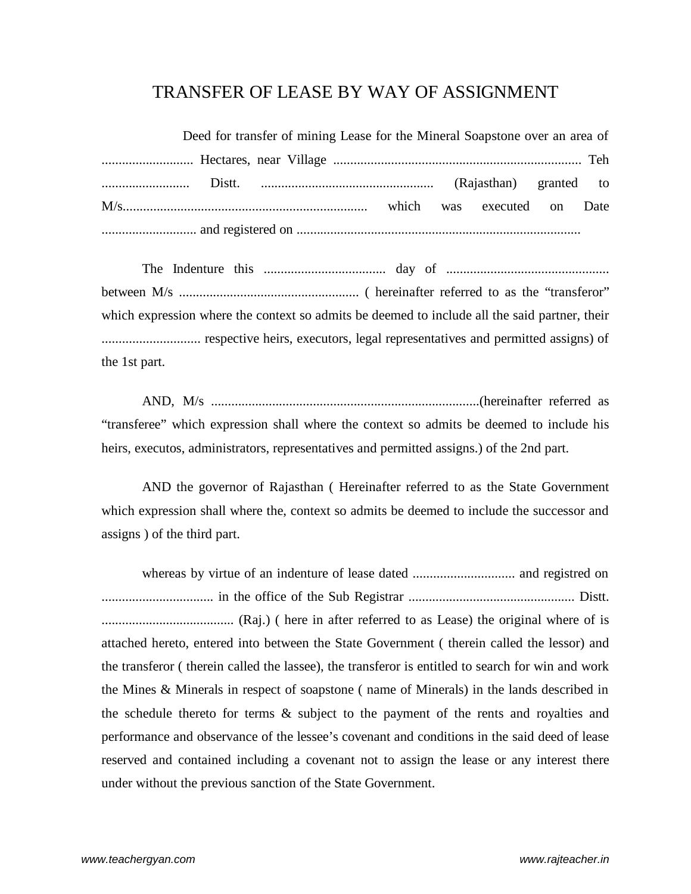## TRANSFER OF LEASE BY WAY OF ASSIGNMENT

| Deed for transfer of mining Lease for the Mineral Soapstone over an area of |  |  |  |  |  |
|-----------------------------------------------------------------------------|--|--|--|--|--|
|                                                                             |  |  |  |  |  |
|                                                                             |  |  |  |  |  |
|                                                                             |  |  |  |  |  |
|                                                                             |  |  |  |  |  |

The Indenture this .................................... day of ................................................ between M/s ..................................................... ( hereinafter referred to as the "transferor" which expression where the context so admits be deemed to include all the said partner, their ............................. respective heirs, executors, legal representatives and permitted assigns) of the 1st part.

AND, M/s ...............................................................................(hereinafter referred as "transferee" which expression shall where the context so admits be deemed to include his heirs, executos, administrators, representatives and permitted assigns.) of the 2nd part.

AND the governor of Rajasthan ( Hereinafter referred to as the State Government which expression shall where the, context so admits be deemed to include the successor and assigns ) of the third part.

whereas by virtue of an indenture of lease dated .............................. and registred on ................................. in the office of the Sub Registrar ................................................. Distt. ....................................... (Raj.) ( here in after referred to as Lease) the original where of is attached hereto, entered into between the State Government ( therein called the lessor) and the transferor ( therein called the lassee), the transferor is entitled to search for win and work the Mines & Minerals in respect of soapstone ( name of Minerals) in the lands described in the schedule thereto for terms & subject to the payment of the rents and royalties and performance and observance of the lessee's covenant and conditions in the said deed of lease reserved and contained including a covenant not to assign the lease or any interest there under without the previous sanction of the State Government.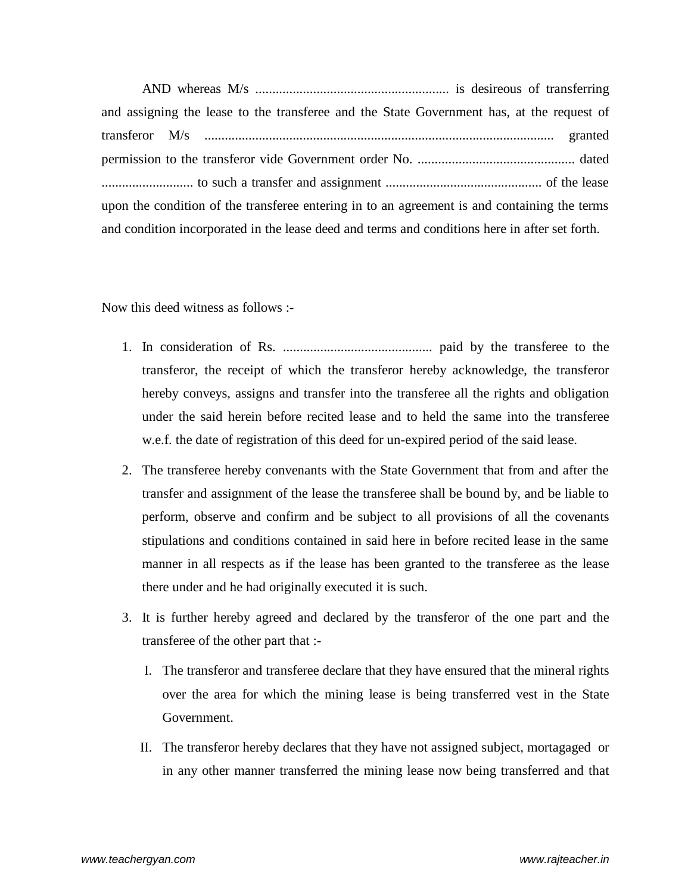AND whereas M/s ......................................................... is desireous of transferring and assigning the lease to the transferee and the State Government has, at the request of transferor M/s ....................................................................................................... granted permission to the transferor vide Government order No. .............................................. dated ........................... to such a transfer and assignment .............................................. of the lease upon the condition of the transferee entering in to an agreement is and containing the terms and condition incorporated in the lease deed and terms and conditions here in after set forth.

Now this deed witness as follows :-

- 1. In consideration of Rs. ............................................ paid by the transferee to the transferor, the receipt of which the transferor hereby acknowledge, the transferor hereby conveys, assigns and transfer into the transferee all the rights and obligation under the said herein before recited lease and to held the same into the transferee w.e.f. the date of registration of this deed for un-expired period of the said lease.
- 2. The transferee hereby convenants with the State Government that from and after the transfer and assignment of the lease the transferee shall be bound by, and be liable to perform, observe and confirm and be subject to all provisions of all the covenants stipulations and conditions contained in said here in before recited lease in the same manner in all respects as if the lease has been granted to the transferee as the lease there under and he had originally executed it is such.
- 3. It is further hereby agreed and declared by the transferor of the one part and the transferee of the other part that :-
	- I. The transferor and transferee declare that they have ensured that the mineral rights over the area for which the mining lease is being transferred vest in the State Government.
	- II. The transferor hereby declares that they have not assigned subject, mortagaged or in any other manner transferred the mining lease now being transferred and that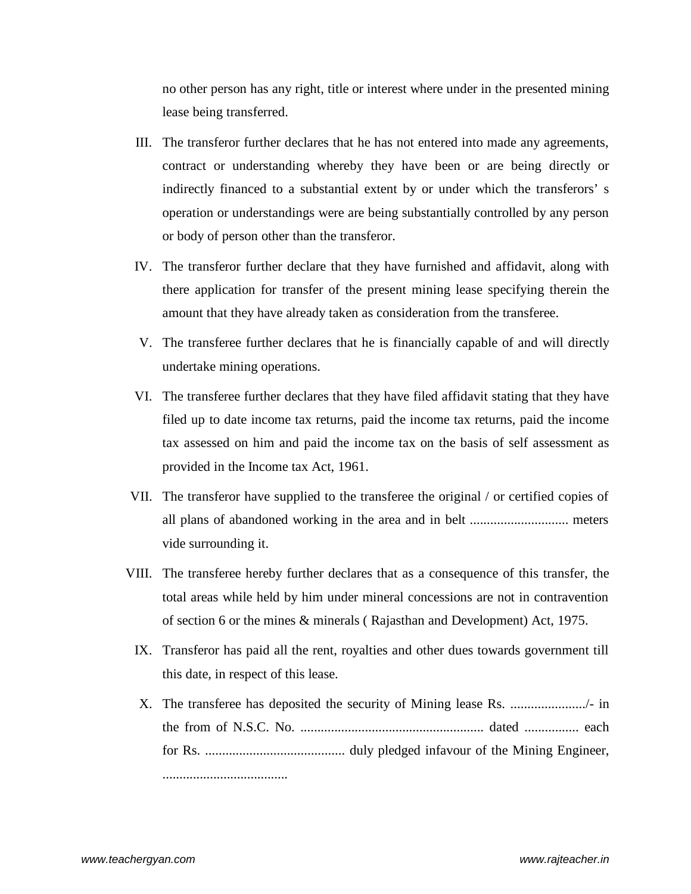no other person has any right, title or interest where under in the presented mining lease being transferred.

- III. The transferor further declares that he has not entered into made any agreements, contract or understanding whereby they have been or are being directly or indirectly financed to a substantial extent by or under which the transferors' s operation or understandings were are being substantially controlled by any person or body of person other than the transferor.
- IV. The transferor further declare that they have furnished and affidavit, along with there application for transfer of the present mining lease specifying therein the amount that they have already taken as consideration from the transferee.
- V. The transferee further declares that he is financially capable of and will directly undertake mining operations.
- VI. The transferee further declares that they have filed affidavit stating that they have filed up to date income tax returns, paid the income tax returns, paid the income tax assessed on him and paid the income tax on the basis of self assessment as provided in the Income tax Act, 1961.
- VII. The transferor have supplied to the transferee the original / or certified copies of all plans of abandoned working in the area and in belt ............................. meters vide surrounding it.
- VIII. The transferee hereby further declares that as a consequence of this transfer, the total areas while held by him under mineral concessions are not in contravention of section 6 or the mines & minerals ( Rajasthan and Development) Act, 1975.
	- IX. Transferor has paid all the rent, royalties and other dues towards government till this date, in respect of this lease.
	- X. The transferee has deposited the security of Mining lease Rs. ....................../- in the from of N.S.C. No. ...................................................... dated ................ each for Rs. ......................................... duly pledged infavour of the Mining Engineer, .....................................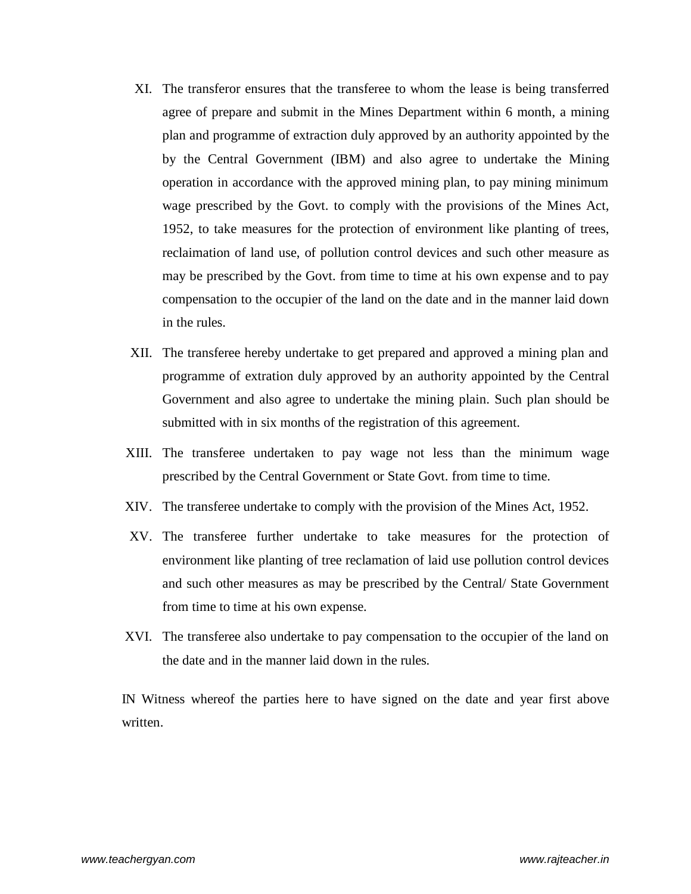- XI. The transferor ensures that the transferee to whom the lease is being transferred agree of prepare and submit in the Mines Department within 6 month, a mining plan and programme of extraction duly approved by an authority appointed by the by the Central Government (IBM) and also agree to undertake the Mining operation in accordance with the approved mining plan, to pay mining minimum wage prescribed by the Govt. to comply with the provisions of the Mines Act, 1952, to take measures for the protection of environment like planting of trees, reclaimation of land use, of pollution control devices and such other measure as may be prescribed by the Govt. from time to time at his own expense and to pay compensation to the occupier of the land on the date and in the manner laid down in the rules.
- XII. The transferee hereby undertake to get prepared and approved a mining plan and programme of extration duly approved by an authority appointed by the Central Government and also agree to undertake the mining plain. Such plan should be submitted with in six months of the registration of this agreement.
- XIII. The transferee undertaken to pay wage not less than the minimum wage prescribed by the Central Government or State Govt. from time to time.
- XIV. The transferee undertake to comply with the provision of the Mines Act, 1952.
- XV. The transferee further undertake to take measures for the protection of environment like planting of tree reclamation of laid use pollution control devices and such other measures as may be prescribed by the Central/ State Government from time to time at his own expense.
- XVI. The transferee also undertake to pay compensation to the occupier of the land on the date and in the manner laid down in the rules.

IN Witness whereof the parties here to have signed on the date and year first above written.